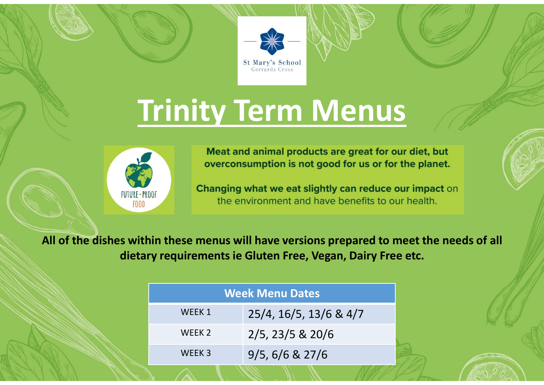



Trinity Term Menus<br>
Meat and animal products are great for our diet, but<br>
overconsumption is not good for us or for the planet.<br>
Changing what we eat slightly can reduce our impact on<br>
the environment and have benefits to All of the dishes within these menus will have versions prepared to meet the needs of all

|                   | <b>Week Menu Dates</b> |
|-------------------|------------------------|
| WEEK 1            | 25/4, 16/5, 13/6 & 4/7 |
| WEEK <sub>2</sub> | $2/5$ , 23/5 & 20/6    |
| WEEK <sub>3</sub> | 9/5, 6/6 & 27/6        |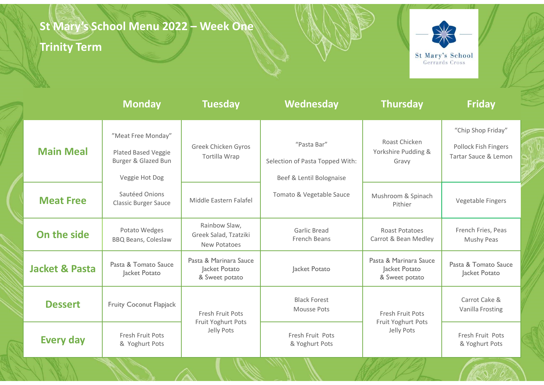# St Mary's School Menu 2022 – Week One<br>Trinity Term<br>Example: All Mary Term

### Trinity Term



| <b>Trinity Term</b>       | St Mary's School Menu 2022 - Week One                                              |                                                           |                                                                            |                                                           | 米<br>St Mary's School<br>Gerrards Cross                            |
|---------------------------|------------------------------------------------------------------------------------|-----------------------------------------------------------|----------------------------------------------------------------------------|-----------------------------------------------------------|--------------------------------------------------------------------|
|                           | <b>Monday</b>                                                                      | <b>Tuesday</b>                                            | Wednesday                                                                  | <b>Thursday</b>                                           | <b>Friday</b>                                                      |
| <b>Main Meal</b>          | "Meat Free Monday"<br>Plated Based Veggie<br>Burger & Glazed Bun<br>Veggie Hot Dog | Greek Chicken Gyros<br>Tortilla Wrap                      | "Pasta Bar"<br>Selection of Pasta Topped With:<br>Beef & Lentil Bolognaise | Roast Chicken<br>Yorkshire Pudding &<br>Gravy             | "Chip Shop Friday"<br>Pollock Fish Fingers<br>Tartar Sauce & Lemon |
| <b>Meat Free</b>          | Sautéed Onions<br><b>Classic Burger Sauce</b>                                      | Middle Eastern Falafel                                    | Tomato & Vegetable Sauce                                                   | Mushroom & Spinach<br>Pithier                             | Vegetable Fingers                                                  |
| On the side               | Potato Wedges<br><b>BBQ Beans, Coleslaw</b>                                        | Rainbow Slaw,<br>Greek Salad, Tzatziki<br>New Potatoes    | Garlic Bread<br>French Beans                                               | Roast Potatoes<br>Carrot & Bean Medley                    | French Fries, Peas<br>Mushy Peas                                   |
| <b>Jacket &amp; Pasta</b> | Pasta & Tomato Sauce<br>Jacket Potato                                              | Pasta & Marinara Sauce<br>Jacket Potato<br>& Sweet potato | Jacket Potato                                                              | Pasta & Marinara Sauce<br>Jacket Potato<br>& Sweet potato | Pasta & Tomato Sauce<br>Jacket Potato                              |
| <b>Dessert</b>            | <b>Fruity Coconut Flapjack</b>                                                     | Fresh Fruit Pots                                          | <b>Black Forest</b><br>Mousse Pots                                         | Fresh Fruit Pots                                          | Carrot Cake &<br>Vanilla Frosting                                  |
| <b>Every day</b>          | Fresh Fruit Pots<br>& Yoghurt Pots                                                 | Fruit Yoghurt Pots<br>Jelly Pots                          | Fresh Fruit Pots<br>& Yoghurt Pots                                         | Fruit Yoghurt Pots<br>Jelly Pots                          | Fresh Fruit Pots<br>& Yoghurt Pots                                 |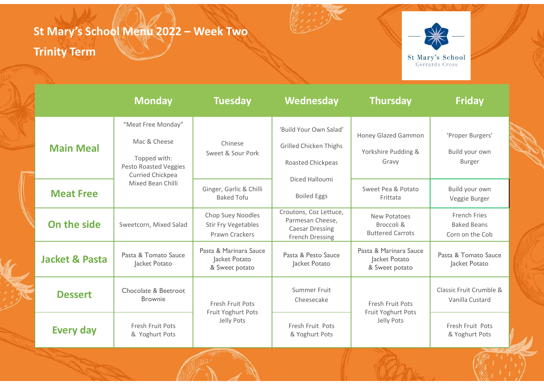# St Mary's School Menu 2022 – Week Two<br>Trinity Term

### Trinity Term



| <b>rinity Term</b> | t Mary's School Menu 2022 - Week Two                                                                   |                                                                   |                                                                                                |                                                           | St Mary's School<br>Gerrards Cross                    |  |
|--------------------|--------------------------------------------------------------------------------------------------------|-------------------------------------------------------------------|------------------------------------------------------------------------------------------------|-----------------------------------------------------------|-------------------------------------------------------|--|
|                    | <b>Monday</b>                                                                                          | <b>Tuesday</b>                                                    | Wednesday                                                                                      | <b>Thursday</b>                                           | <b>Friday</b>                                         |  |
| <b>Main Meal</b>   | "Meat Free Monday"<br>Mac & Cheese<br>Topped with:<br>Pesto Roasted Veggies<br><b>Curried Chickpea</b> | Chinese<br>Sweet & Sour Pork                                      | 'Build Your Own Salad'<br><b>Grilled Chicken Thighs</b><br>Roasted Chickpeas<br>Diced Halloumi | Honey Glazed Gammon<br>Yorkshire Pudding &<br>Gravy       | 'Proper Burgers'<br>Build your own<br><b>Burger</b>   |  |
| <b>Meat Free</b>   | Mixed Bean Chilli                                                                                      | Ginger, Garlic & Chilli<br><b>Baked Tofu</b>                      | <b>Boiled Eggs</b>                                                                             | Sweet Pea & Potato<br>Frittata                            | Build your own<br>Veggie Burger                       |  |
| On the side        | Sweetcorn, Mixed Salad                                                                                 | Chop Suey Noodles<br><b>Stir Fry Vegetables</b><br>Prawn Crackers | Croutons, Coz Lettuce,<br>Parmesan Cheese,<br><b>Caesar Dressing</b><br>French Dressing        | New Potatoes<br>Broccoli &<br><b>Buttered Carrots</b>     | French Fries<br><b>Baked Beans</b><br>Corn on the Cob |  |
| Jacket & Pasta     | Pasta & Tomato Sauce<br>Jacket Potato                                                                  | Pasta & Marinara Sauce<br>Jacket Potato<br>& Sweet potato         | Pasta & Pesto Sauce<br>Jacket Potato                                                           | Pasta & Marinara Sauce<br>Jacket Potato<br>& Sweet potato | Pasta & Tomato Sauce<br>Jacket Potato                 |  |
| <b>Dessert</b>     | Chocolate & Beetroot<br><b>Brownie</b>                                                                 | Fresh Fruit Pots                                                  | Summer Fruit<br>Cheesecake                                                                     | Fresh Fruit Pots                                          | Classic Fruit Crumble &<br>Vanilla Custard            |  |
| <b>Every day</b>   | Fresh Fruit Pots<br>& Yoghurt Pots                                                                     | Fruit Yoghurt Pots<br>Jelly Pots                                  | Fresh Fruit Pots<br>& Yoghurt Pots                                                             | Fruit Yoghurt Pots<br>Jelly Pots                          | Fresh Fruit Pots<br>& Yoghurt Pots                    |  |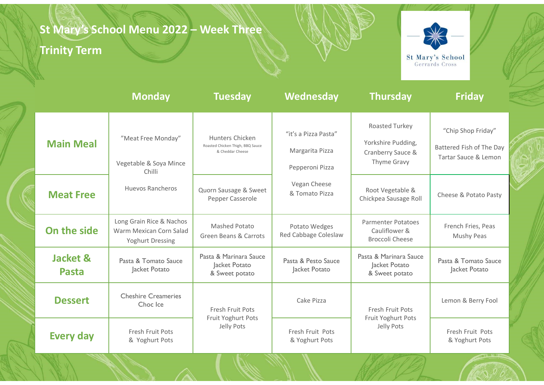# St Mary's School Menu 2022 – Week Three<br>Trinity Term<br>St

### Trinity Term



| <b>Trinity Term</b>      | St Mary's School Menu 2022 - Week Three                                 |                                                                         |                                                            |                                                                          | St Mary's School                                                       |  |
|--------------------------|-------------------------------------------------------------------------|-------------------------------------------------------------------------|------------------------------------------------------------|--------------------------------------------------------------------------|------------------------------------------------------------------------|--|
|                          | <b>Monday</b>                                                           | <b>Tuesday</b>                                                          | Wednesday                                                  | <b>Thursday</b>                                                          | Gerrards Cross<br><b>Friday</b>                                        |  |
| <b>Main Meal</b>         | "Meat Free Monday"<br>Vegetable & Soya Mince<br>Chilli                  | Hunters Chicken<br>Roasted Chicken Thigh, BBQ Sauce<br>& Cheddar Cheese | "it's a Pizza Pasta"<br>Margarita Pizza<br>Pepperoni Pizza | Roasted Turkey<br>Yorkshire Pudding,<br>Cranberry Sauce &<br>Thyme Gravy | "Chip Shop Friday"<br>Battered Fish of The Day<br>Tartar Sauce & Lemon |  |
| <b>Meat Free</b>         | Huevos Rancheros                                                        | Quorn Sausage & Sweet<br>Pepper Casserole                               | Vegan Cheese<br>& Tomato Pizza                             | Root Vegetable &<br>Chickpea Sausage Roll                                | Cheese & Potato Pasty                                                  |  |
| On the side              | Long Grain Rice & Nachos<br>Warm Mexican Corn Salad<br>Yoghurt Dressing | Mashed Potato<br><b>Green Beans &amp; Carrots</b>                       | Potato Wedges<br>Red Cabbage Coleslaw                      | <b>Parmenter Potatoes</b><br>Cauliflower &<br><b>Broccoli Cheese</b>     | French Fries, Peas<br>Mushy Peas                                       |  |
| Jacket &<br><b>Pasta</b> | Pasta & Tomato Sauce<br>Jacket Potato                                   | Pasta & Marinara Sauce<br>Jacket Potato<br>& Sweet potato               | Pasta & Pesto Sauce<br>Jacket Potato                       | Pasta & Marinara Sauce<br>Jacket Potato<br>& Sweet potato                | Pasta & Tomato Sauce<br>Jacket Potato                                  |  |
| <b>Dessert</b>           | <b>Cheshire Creameries</b><br>Choc Ice                                  | Fresh Fruit Pots                                                        | Cake Pizza                                                 | Fresh Fruit Pots                                                         | Lemon & Berry Fool                                                     |  |
| <b>Every day</b>         | Fresh Fruit Pots<br>& Yoghurt Pots                                      | Fruit Yoghurt Pots<br>Jelly Pots                                        | Fresh Fruit Pots<br>& Yoghurt Pots                         | Fruit Yoghurt Pots<br>Jelly Pots                                         | Fresh Fruit Pots<br>& Yoghurt Pots                                     |  |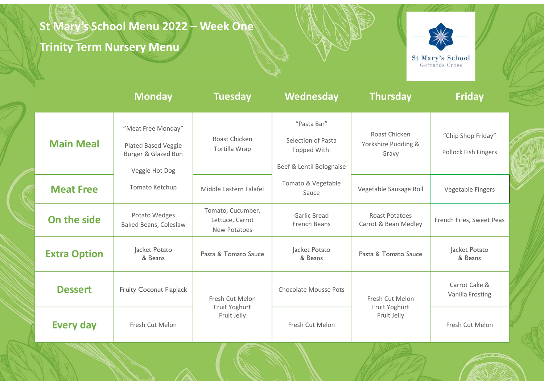# St Mary's School Menu 2022 – Week One<br>Trinity Term Nursery Menu<br>New York One

### Trinity Term Nursery Menu



| ot mary s <del>b</del> enool |  |
|------------------------------|--|
| Gerrards Cross               |  |

| <b>Trinity Term Nursery Menu</b> | St Mary's School Menu 2022 - Week One                                              |                                                      |                                                                               |                                               | St Mary's School<br>Gerrards Cross         |  |
|----------------------------------|------------------------------------------------------------------------------------|------------------------------------------------------|-------------------------------------------------------------------------------|-----------------------------------------------|--------------------------------------------|--|
|                                  | <b>Monday</b>                                                                      | <b>Tuesday</b>                                       | Wednesday                                                                     | <b>Thursday</b>                               | <b>Friday</b>                              |  |
| <b>Main Meal</b>                 | "Meat Free Monday"<br>Plated Based Veggie<br>Burger & Glazed Bun<br>Veggie Hot Dog | Roast Chicken<br>Tortilla Wrap                       | "Pasta Bar"<br>Selection of Pasta<br>Topped With:<br>Beef & Lentil Bolognaise | Roast Chicken<br>Yorkshire Pudding &<br>Gravy | "Chip Shop Friday"<br>Pollock Fish Fingers |  |
| <b>Meat Free</b>                 | Tomato Ketchup                                                                     | Middle Eastern Falafel                               | Tomato & Vegetable<br>Sauce                                                   | Vegetable Sausage Roll                        | Vegetable Fingers                          |  |
| On the side                      | Potato Wedges<br>Baked Beans, Coleslaw                                             | Tomato, Cucumber,<br>Lettuce, Carrot<br>New Potatoes | <b>Garlic Bread</b><br>French Beans                                           | Roast Potatoes<br>Carrot & Bean Medley        | French Fries, Sweet Peas                   |  |
| <b>Extra Option</b>              | Jacket Potato<br>& Beans                                                           | Pasta & Tomato Sauce                                 | Jacket Potato<br>& Beans                                                      | Pasta & Tomato Sauce                          | Jacket Potato<br>& Beans                   |  |
| <b>Dessert</b>                   | <b>Fruity Coconut Flapjack</b>                                                     | Fresh Cut Melon<br>Fruit Yoghurt                     | Chocolate Mousse Pots                                                         | Fresh Cut Melon<br>Fruit Yoghurt              | Carrot Cake &<br>Vanilla Frosting          |  |
| <b>Every day</b>                 | Fresh Cut Melon                                                                    | Fruit Jelly                                          | Fresh Cut Melon                                                               | Fruit Jelly                                   | Fresh Cut Melon                            |  |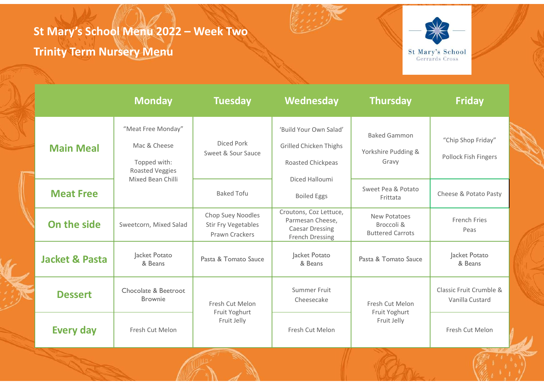# St Mary's School Menu 2022 – Week Two<br>Trinity Term Nursery Menu

### Trinity Term Nursery Menu



| <b>Trinity Term Nursery Menu</b>                                      |                                                            |                                                                                         |                                                       | St Mary's School<br>Gerrards Cross         |  |
|-----------------------------------------------------------------------|------------------------------------------------------------|-----------------------------------------------------------------------------------------|-------------------------------------------------------|--------------------------------------------|--|
|                                                                       |                                                            |                                                                                         |                                                       |                                            |  |
| <b>Monday</b>                                                         | <b>Tuesday</b>                                             | Wednesday                                                                               | <b>Thursday</b>                                       | <b>Friday</b>                              |  |
| "Meat Free Monday"<br>Mac & Cheese<br>Topped with:<br>Roasted Veggies | Diced Pork<br>Sweet & Sour Sauce                           | 'Build Your Own Salad'<br><b>Grilled Chicken Thighs</b><br>Roasted Chickpeas            | <b>Baked Gammon</b><br>Yorkshire Pudding &<br>Gravy   | "Chip Shop Friday"<br>Pollock Fish Fingers |  |
|                                                                       | <b>Baked Tofu</b>                                          | <b>Boiled Eggs</b>                                                                      | Sweet Pea & Potato<br>Frittata                        | Cheese & Potato Pasty                      |  |
| Sweetcorn, Mixed Salad                                                | Chop Suey Noodles<br>Stir Fry Vegetables<br>Prawn Crackers | Croutons, Coz Lettuce,<br>Parmesan Cheese,<br><b>Caesar Dressing</b><br>French Dressing | New Potatoes<br>Broccoli &<br><b>Buttered Carrots</b> | French Fries<br>Peas                       |  |
| Jacket Potato<br>& Beans                                              | Pasta & Tomato Sauce                                       | Jacket Potato<br>& Beans                                                                | Pasta & Tomato Sauce                                  | Jacket Potato<br>& Beans                   |  |
| Chocolate & Beetroot<br><b>Brownie</b>                                | Fresh Cut Melon                                            | Summer Fruit<br>Cheesecake                                                              | Fresh Cut Melon                                       | Classic Fruit Crumble &<br>Vanilla Custard |  |
| Fresh Cut Melon                                                       | Fruit Jelly                                                | Fresh Cut Melon                                                                         | Fruit Jelly                                           | Fresh Cut Melon                            |  |
|                                                                       | Mixed Bean Chilli                                          | Fruit Yoghurt                                                                           | Diced Halloumi                                        | Fruit Yoghurt                              |  |